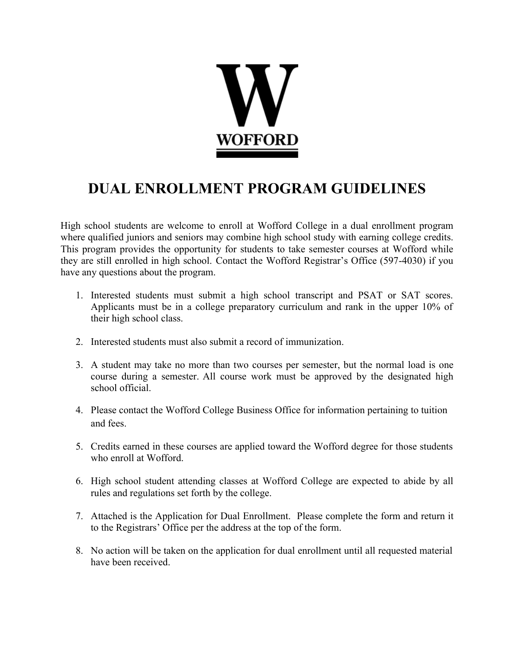

## **DUAL ENROLLMENT PROGRAM GUIDELINES**

High school students are welcome to enroll at Wofford College in a dual enrollment program where qualified juniors and seniors may combine high school study with earning college credits. This program provides the opportunity for students to take semester courses at Wofford while they are still enrolled in high school. Contact the Wofford Registrar's Office (597-4030) if you have any questions about the program.

- 1. Interested students must submit a high school transcript and PSAT or SAT scores. Applicants must be in a college preparatory curriculum and rank in the upper 10% of their high school class.
- 2. Interested students must also submit a record of immunization.
- 3. A student may take no more than two courses per semester, but the normal load is one course during a semester. All course work must be approved by the designated high school official.
- 4. Please contact the Wofford College Business Office for information pertaining to tuition and fees.
- 5. Credits earned in these courses are applied toward the Wofford degree for those students who enroll at Wofford.
- 6. High school student attending classes at Wofford College are expected to abide by all rules and regulations set forth by the college.
- 7. Attached is the Application for Dual Enrollment. Please complete the form and return it to the Registrars' Office per the address at the top of the form.
- 8. No action will be taken on the application for dual enrollment until all requested material have been received.